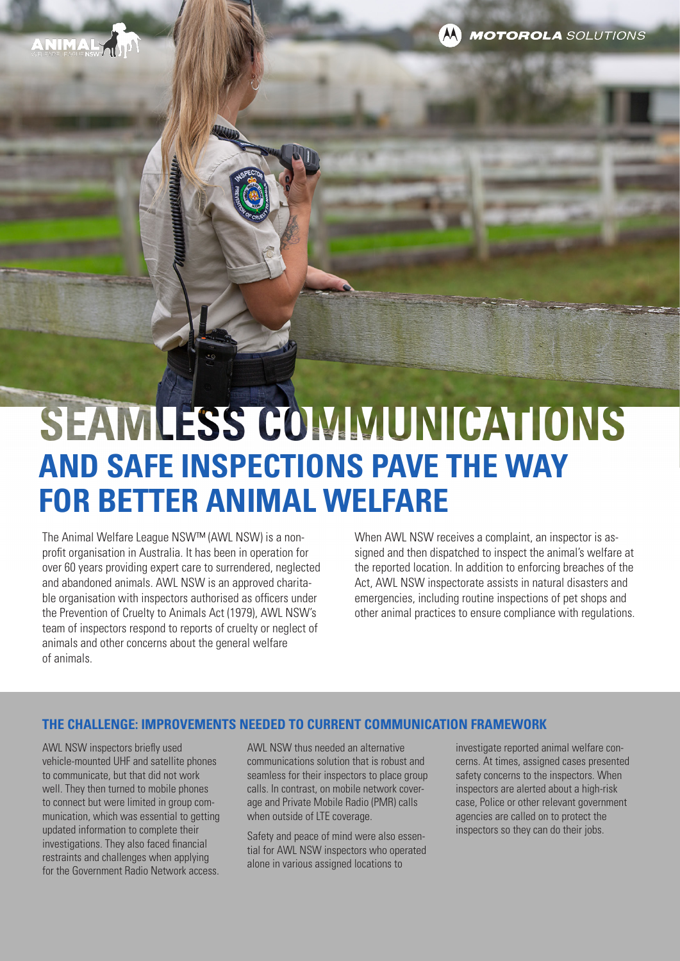**MOTOROLA** SOLUTIONS

# SEAMLESS COMMUNICATIONS **AND SAFE INSPECTIONS PAVE THE WAY FOR BETTER ANIMAL WELFARE**

The Animal Welfare League NSW™ (AWL NSW) is a nonprofit organisation in Australia. It has been in operation for over 60 years providing expert care to surrendered, neglected and abandoned animals. AWL NSW is an approved charitable organisation with inspectors authorised as officers under the Prevention of Cruelty to Animals Act (1979), AWL NSW's team of inspectors respond to reports of cruelty or neglect of animals and other concerns about the general welfare of animals.

When AWL NSW receives a complaint, an inspector is assigned and then dispatched to inspect the animal's welfare at the reported location. In addition to enforcing breaches of the Act, AWL NSW inspectorate assists in natural disasters and emergencies, including routine inspections of pet shops and other animal practices to ensure compliance with regulations.

#### **THE CHALLENGE: IMPROVEMENTS NEEDED TO CURRENT COMMUNICATION FRAMEWORK**

AWL NSW inspectors briefly used vehicle-mounted UHF and satellite phones to communicate, but that did not work well. They then turned to mobile phones to connect but were limited in group communication, which was essential to getting updated information to complete their investigations. They also faced financial restraints and challenges when applying for the Government Radio Network access.

AWL NSW thus needed an alternative communications solution that is robust and seamless for their inspectors to place group calls. In contrast, on mobile network coverage and Private Mobile Radio (PMR) calls when outside of LTE coverage.

Safety and peace of mind were also essential for AWL NSW inspectors who operated alone in various assigned locations to

investigate reported animal welfare concerns. At times, assigned cases presented safety concerns to the inspectors. When inspectors are alerted about a high-risk case, Police or other relevant government agencies are called on to protect the inspectors so they can do their jobs.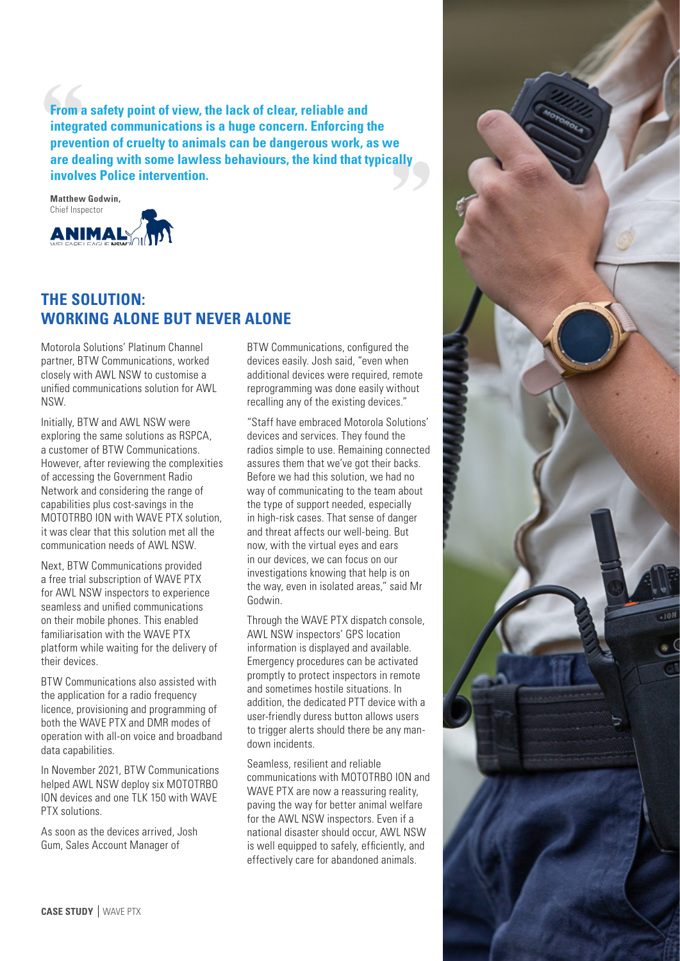**From a safety point of view, the lack of clear, reliable and integrated communications is a huge concern. Enforcing the prevention of cruelty to animals can be dangerous work, as we are dealing with some lawless behaviours, the kind that typically involves Police intervention.**

**Matthew Godwin,**  Chief Inspector**ANIMAL:** 

### **THE SOLUTION: WORKING ALONE BUT NEVER ALONE**

Motorola Solutions' Platinum Channel partner, BTW Communications, worked closely with AWL NSW to customise a unified communications solution for AWL NSW.

Initially, BTW and AWL NSW were exploring the same solutions as RSPCA, a customer of BTW Communications. However, after reviewing the complexities of accessing the Government Radio Network and considering the range of capabilities plus cost-savings in the MOTOTRBO ION with WAVE PTX solution, it was clear that this solution met all the communication needs of AWL NSW.

Next, BTW Communications provided a free trial subscription of WAVE PTX for AWL NSW inspectors to experience seamless and unified communications on their mobile phones. This enabled familiarisation with the WAVE PTX platform while waiting for the delivery of their devices.

BTW Communications also assisted with the application for a radio frequency licence, provisioning and programming of both the WAVE PTX and DMR modes of operation with all-on voice and broadband data capabilities.

In November 2021, BTW Communications helped AWL NSW deploy six MOTOTRBO ION devices and one TLK 150 with WAVE PTX solutions.

As soon as the devices arrived, Josh Gum, Sales Account Manager of

BTW Communications, configured the devices easily. Josh said, "even when additional devices were required, remote reprogramming was done easily without recalling any of the existing devices."

"Staff have embraced Motorola Solutions' devices and services. They found the radios simple to use. Remaining connected assures them that we've got their backs. Before we had this solution, we had no way of communicating to the team about the type of support needed, especially in high-risk cases. That sense of danger and threat affects our well-being. But now, with the virtual eyes and ears in our devices, we can focus on our investigations knowing that help is on the way, even in isolated areas," said Mr Godwin.

Through the WAVE PTX dispatch console, AWL NSW inspectors' GPS location information is displayed and available. Emergency procedures can be activated promptly to protect inspectors in remote and sometimes hostile situations. In addition, the dedicated PTT device with a user-friendly duress button allows users to trigger alerts should there be any mandown incidents.

Seamless, resilient and reliable communications with MOTOTRBO ION and WAVE PTX are now a reassuring reality, paving the way for better animal welfare for the AWL NSW inspectors. Even if a national disaster should occur, AWL NSW is well equipped to safely, efficiently, and effectively care for abandoned animals.